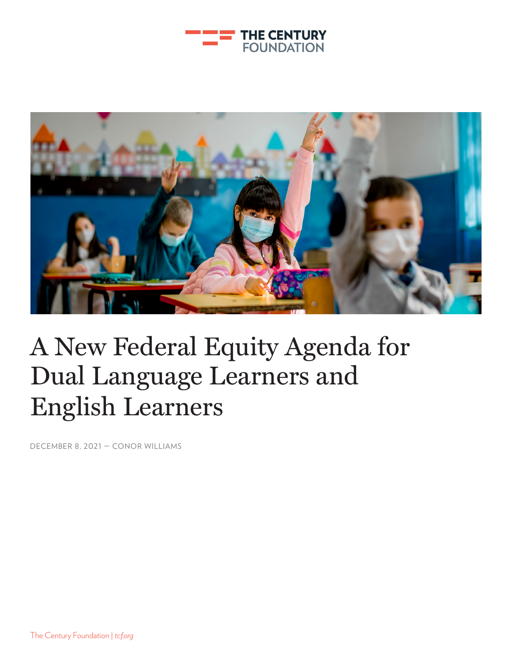



# A New Federal Equity Agenda for Dual Language Learners and English Learners

DECEMBER 8, 2021 — CONOR WILLIAMS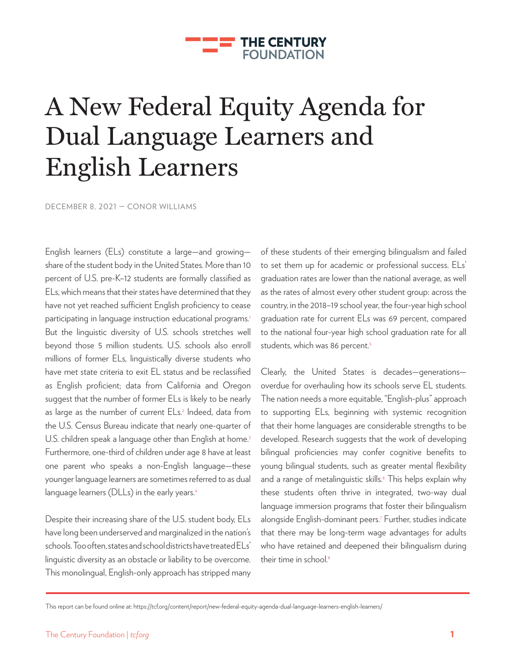#### **THE CENTURY FOUNDATION**

# A New Federal Equity Agenda for Dual Language Learners and English Learners

DECEMBER 8, 2021 — CONOR WILLIAMS

English learners (ELs) constitute a large—and growing share of the student body in the United States. More than 10 percent of U.S. pre-K–12 students are formally classified as ELs, which means that their states have determined that they have not yet reached sufficient English proficiency to cease participating in language instruction educational programs.<sup>1</sup> But the linguistic diversity of U.S. schools stretches well beyond those 5 million students. U.S. schools also enroll millions of former ELs, linguistically diverse students who have met state criteria to exit EL status and be reclassified as English proficient; data from California and Oregon suggest that the number of former ELs is likely to be nearly as large as the number of current ELs.<sup>2</sup> Indeed, data from the U.S. Census Bureau indicate that nearly one-quarter of U.S. children speak a language other than English at home.<sup>3</sup> Furthermore, one-third of children under age 8 have at least one parent who speaks a non-English language—these younger language learners are sometimes referred to as dual language learners (DLLs) in the early years.<sup>4</sup>

Despite their increasing share of the U.S. student body, ELs have long been underserved and marginalized in the nation's schools. Too often, states and school districts have treated ELs' linguistic diversity as an obstacle or liability to be overcome. This monolingual, English-only approach has stripped many of these students of their emerging bilingualism and failed to set them up for academic or professional success. ELs' graduation rates are lower than the national average, as well as the rates of almost every other student group: across the country, in the 2018–19 school year, the four-year high school graduation rate for current ELs was 69 percent, compared to the national four-year high school graduation rate for all students, which was 86 percent.<sup>5</sup>

Clearly, the United States is decades—generations overdue for overhauling how its schools serve EL students. The nation needs a more equitable, "English-plus" approach to supporting ELs, beginning with systemic recognition that their home languages are considerable strengths to be developed. Research suggests that the work of developing bilingual proficiencies may confer cognitive benefits to young bilingual students, such as greater mental flexibility and a range of metalinguistic skills.6 This helps explain why these students often thrive in integrated, two-way dual language immersion programs that foster their bilingualism alongside English-dominant peers.7 Further, studies indicate that there may be long-term wage advantages for adults who have retained and deepened their bilingualism during their time in school.<sup>8</sup>

This report can be found online at: https://tcf.org/content/report/new-federal-equity-agenda-dual-language-learners-english-learners/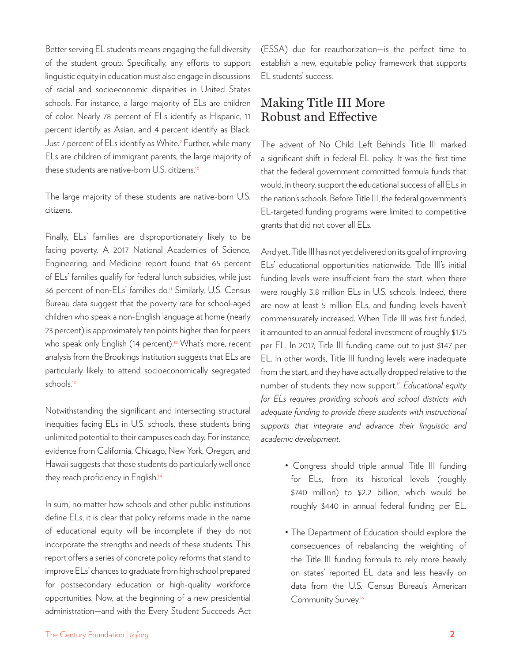Better serving EL students means engaging the full diversity of the student group. Specifically, any efforts to support linguistic equity in education must also engage in discussions of racial and socioeconomic disparities in United States schools. For instance, a large majority of ELs are children of color. Nearly 78 percent of ELs identify as Hispanic, 11 percent identify as Asian, and 4 percent identify as Black. Just 7 percent of ELs identify as White.<sup>9</sup> Further, while many ELs are children of immigrant parents, the large majority of these students are native-born U.S. citizens.10

The large majority of these students are native-born U.S. citizens.

Finally, ELs' families are disproportionately likely to be facing poverty. A 2017 National Academies of Science, Engineering, and Medicine report found that 65 percent of ELs' families qualify for federal lunch subsidies, while just 36 percent of non-ELs' families do.<sup>11</sup> Similarly, U.S. Census Bureau data suggest that the poverty rate for school-aged children who speak a non-English language at home (nearly 23 percent) is approximately ten points higher than for peers who speak only English (14 percent).<sup>12</sup> What's more, recent analysis from the Brookings Institution suggests that ELs are particularly likely to attend socioeconomically segregated schools.<sup>13</sup>

Notwithstanding the significant and intersecting structural inequities facing ELs in U.S. schools, these students bring unlimited potential to their campuses each day. For instance, evidence from California, Chicago, New York, Oregon, and Hawaii suggests that these students do particularly well once they reach proficiency in English.<sup>14</sup>

In sum, no matter how schools and other public institutions define ELs, it is clear that policy reforms made in the name of educational equity will be incomplete if they do not incorporate the strengths and needs of these students. This report offers a series of concrete policy reforms that stand to improve ELs' chances to graduate from high school prepared for postsecondary education or high-quality workforce opportunities. Now, at the beginning of a new presidential administration—and with the Every Student Succeeds Act (ESSA) due for reauthorization—is the perfect time to establish a new, equitable policy framework that supports EL students' success.

## Making Title III More Robust and Effective

The advent of No Child Left Behind's Title III marked a significant shift in federal EL policy. It was the first time that the federal government committed formula funds that would, in theory, support the educational success of all ELs in the nation's schools. Before Title III, the federal government's EL-targeted funding programs were limited to competitive grants that did not cover all ELs.

And yet, Title III has not yet delivered on its goal of improving ELs' educational opportunities nationwide. Title III's initial funding levels were insufficient from the start, when there were roughly 3.8 million ELs in U.S. schools. Indeed, there are now at least 5 million ELs, and funding levels haven't commensurately increased. When Title III was first funded, it amounted to an annual federal investment of roughly \$175 per EL. In 2017, Title III funding came out to just \$147 per EL. In other words, Title III funding levels were inadequate from the start, and they have actually dropped relative to the number of students they now support.15 *Educational equity for ELs requires providing schools and school districts with adequate funding to provide these students with instructional supports that integrate and advance their linguistic and academic development.*

- Congress should triple annual Title III funding for ELs, from its historical levels (roughly \$740 million) to \$2.2 billion, which would be roughly \$440 in annual federal funding per EL.
- The Department of Education should explore the consequences of rebalancing the weighting of the Title III funding formula to rely more heavily on states' reported EL data and less heavily on data from the U.S. Census Bureau's American Community Survey.16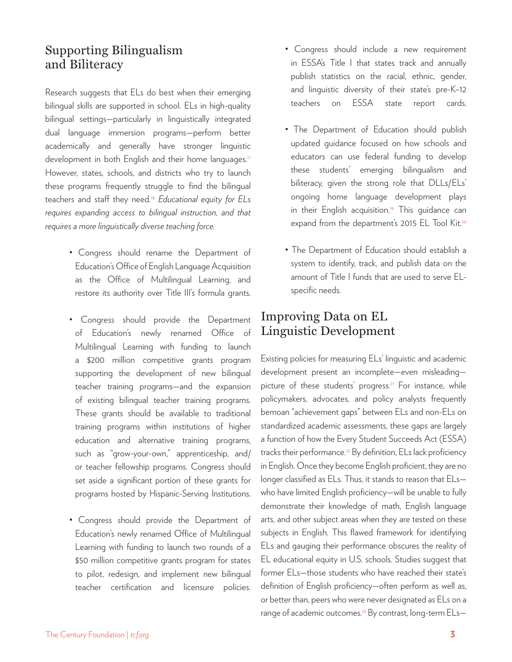### Supporting Bilingualism and Biliteracy

Research suggests that ELs do best when their emerging bilingual skills are supported in school. ELs in high-quality bilingual settings—particularly in linguistically integrated dual language immersion programs—perform better academically and generally have stronger linguistic development in both English and their home languages.<sup>17</sup> However, states, schools, and districts who try to launch these programs frequently struggle to find the bilingual teachers and staff they need.18 *Educational equity for ELs requires expanding access to bilingual instruction, and that requires a more linguistically diverse teaching force.*

- Congress should rename the Department of Education's Office of English Language Acquisition as the Office of Multilingual Learning, and restore its authority over Title III's formula grants.
- Congress should provide the Department of Education's newly renamed Office of Multilingual Learning with funding to launch a \$200 million competitive grants program supporting the development of new bilingual teacher training programs—and the expansion of existing bilingual teacher training programs. These grants should be available to traditional training programs within institutions of higher education and alternative training programs, such as "grow-your-own," apprenticeship, and/ or teacher fellowship programs. Congress should set aside a significant portion of these grants for programs hosted by Hispanic-Serving Institutions.
- Congress should provide the Department of Education's newly renamed Office of Multilingual Learning with funding to launch two rounds of a \$50 million competitive grants program for states to pilot, redesign, and implement new bilingual teacher certification and licensure policies.
- Congress should include a new requirement in ESSA's Title I that states track and annually publish statistics on the racial, ethnic, gender, and linguistic diversity of their state's pre-K–12 teachers on ESSA state report cards.
- The Department of Education should publish updated guidance focused on how schools and educators can use federal funding to develop these students' emerging bilingualism and biliteracy, given the strong role that DLLs/ELs' ongoing home language development plays in their English acquisition.<sup>19</sup> This guidance can expand from the department's 2015 EL Tool Kit.<sup>20</sup>
- The Department of Education should establish a system to identify, track, and publish data on the amount of Title I funds that are used to serve ELspecific needs.

### Improving Data on EL Linguistic Development

Existing policies for measuring ELs' linguistic and academic development present an incomplete—even misleading picture of these students' progress.<sup>21</sup> For instance, while policymakers, advocates, and policy analysts frequently bemoan "achievement gaps" between ELs and non-ELs on standardized academic assessments, these gaps are largely a function of how the Every Student Succeeds Act (ESSA) tracks their performance.<sup>22</sup> By definition, ELs lack proficiency in English. Once they become English proficient, they are no longer classified as ELs. Thus, it stands to reason that ELs who have limited English proficiency—will be unable to fully demonstrate their knowledge of math, English language arts, and other subject areas when they are tested on these subjects in English. This flawed framework for identifying ELs and gauging their performance obscures the reality of EL educational equity in U.S. schools. Studies suggest that former ELs—those students who have reached their state's definition of English proficiency—often perform as well as, or better than, peers who were never designated as ELs on a range of academic outcomes.<sup>23</sup> By contrast, long-term ELs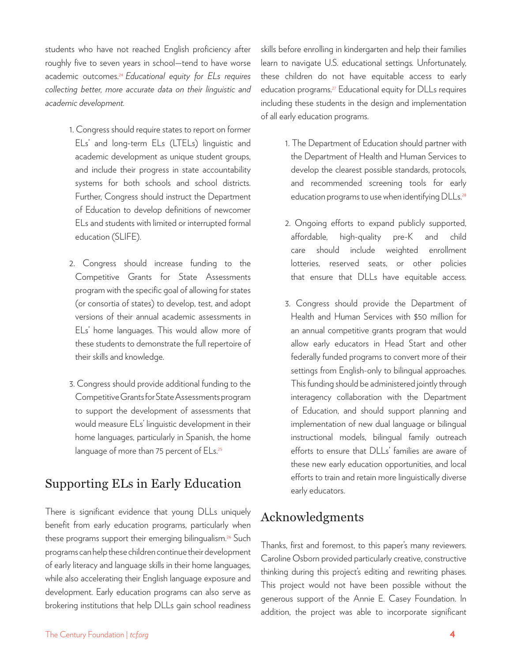students who have not reached English proficiency after roughly five to seven years in school—tend to have worse academic outcomes.24 *Educational equity for ELs requires collecting better, more accurate data on their linguistic and academic development.*

- 1. Congress should require states to report on former ELs' and long-term ELs (LTELs) linguistic and academic development as unique student groups, and include their progress in state accountability systems for both schools and school districts. Further, Congress should instruct the Department of Education to develop definitions of newcomer ELs and students with limited or interrupted formal education (SLIFE).
- 2. Congress should increase funding to the Competitive Grants for State Assessments program with the specific goal of allowing for states (or consortia of states) to develop, test, and adopt versions of their annual academic assessments in ELs' home languages. This would allow more of these students to demonstrate the full repertoire of their skills and knowledge.
- 3. Congress should provide additional funding to the Competitive Grants for State Assessments program to support the development of assessments that would measure ELs' linguistic development in their home languages, particularly in Spanish, the home language of more than 75 percent of ELs.<sup>25</sup>

### Supporting ELs in Early Education

There is significant evidence that young DLLs uniquely benefit from early education programs, particularly when these programs support their emerging bilingualism.<sup>26</sup> Such programs can help these children continue their development of early literacy and language skills in their home languages, while also accelerating their English language exposure and development. Early education programs can also serve as brokering institutions that help DLLs gain school readiness

skills before enrolling in kindergarten and help their families learn to navigate U.S. educational settings. Unfortunately, these children do not have equitable access to early education programs.27 Educational equity for DLLs requires including these students in the design and implementation of all early education programs.

- 1. The Department of Education should partner with the Department of Health and Human Services to develop the clearest possible standards, protocols, and recommended screening tools for early education programs to use when identifying DLLs.<sup>28</sup>
- 2. Ongoing efforts to expand publicly supported, affordable, high-quality pre-K and child care should include weighted enrollment lotteries, reserved seats, or other policies that ensure that DLLs have equitable access.
- 3. Congress should provide the Department of Health and Human Services with \$50 million for an annual competitive grants program that would allow early educators in Head Start and other federally funded programs to convert more of their settings from English-only to bilingual approaches. This funding should be administered jointly through interagency collaboration with the Department of Education, and should support planning and implementation of new dual language or bilingual instructional models, bilingual family outreach efforts to ensure that DLLs' families are aware of these new early education opportunities, and local efforts to train and retain more linguistically diverse early educators.

## Acknowledgments

Thanks, first and foremost, to this paper's many reviewers. Caroline Osborn provided particularly creative, constructive thinking during this project's editing and rewriting phases. This project would not have been possible without the generous support of the Annie E. Casey Foundation. In addition, the project was able to incorporate significant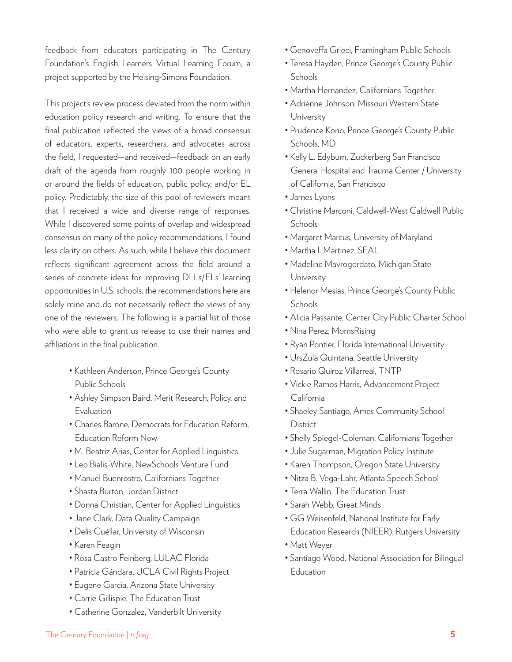feedback from educators participating in The Century Foundation's English Learners Virtual Learning Forum, a project supported by the Heising-Simons Foundation.

This project's review process deviated from the norm within education policy research and writing. To ensure that the final publication reflected the views of a broad consensus of educators, experts, researchers, and advocates across the field, I requested—and received—feedback on an early draft of the agenda from roughly 100 people working in or around the fields of education, public policy, and/or EL policy. Predictably, the size of this pool of reviewers meant that I received a wide and diverse range of responses. While I discovered some points of overlap and widespread consensus on many of the policy recommendations, I found less clarity on others. As such, while I believe this document reflects significant agreement across the field around a series of concrete ideas for improving DLLs/ELs' learning opportunities in U.S. schools, the recommendations here are solely mine and do not necessarily reflect the views of any one of the reviewers. The following is a partial list of those who were able to grant us release to use their names and affiliations in the final publication.

- Kathleen Anderson, Prince George's County Public Schools
- Ashley Simpson Baird, Merit Research, Policy, and Evaluation
- Charles Barone, Democrats for Education Reform, Education Reform Now
- M. Beatriz Arias, Center for Applied Linguistics
- Leo Bialis-White, NewSchools Venture Fund
- Manuel Buenrostro, Californians Together
- Shasta Burton, Jordan District
- Donna Christian, Center for Applied Linguistics
- Jane Clark, Data Quality Campaign
- Delis Cuéllar, University of Wisconsin
- Karen Feagin
- Rosa Castro Feinberg, LULAC Florida
- Patricia Gándara, UCLA Civil Rights Project
- Eugene Garcia, Arizona State University
- Carrie Gillispie, The Education Trust
- Catherine Gonzalez, Vanderbilt University
- Genoveffa Grieci, Framingham Public Schools
- Teresa Hayden, Prince George's County Public Schools
- Martha Hernandez, Californians Together
- Adrienne Johnson, Missouri Western State University
- Prudence Kono, Prince George's County Public Schools, MD
- Kelly L. Edyburn, Zuckerberg San Francisco General Hospital and Trauma Center / University of California, San Francisco
- James Lyons
- Christine Marconi, Caldwell-West Caldwell Public **Schools**
- Margaret Marcus, University of Maryland
- Martha I. Martinez, SEAL
- Madeline Mavrogordato, Michigan State University
- Helenor Mesias, Prince George's County Public **Schools**
- Alicia Passante, Center City Public Charter School
- Nina Perez, MomsRising
- Ryan Pontier, Florida International University
- UrsZula Quintana, Seattle University
- Rosario Quiroz Villarreal, TNTP
- Vickie Ramos Harris, Advancement Project California
- Shaeley Santiago, Ames Community School **District**
- Shelly Spiegel-Coleman, Californians Together
- Julie Sugarman, Migration Policy Institute
- Karen Thompson, Oregon State University
- Nitza B. Vega-Lahr, Atlanta Speech School
- Terra Wallin, The Education Trust
- Sarah Webb, Great Minds
- GG Weisenfeld, National Institute for Early Education Research (NIEER), Rutgers University
- Matt Weyer
- Santiago Wood, National Association for Bilingual **Education**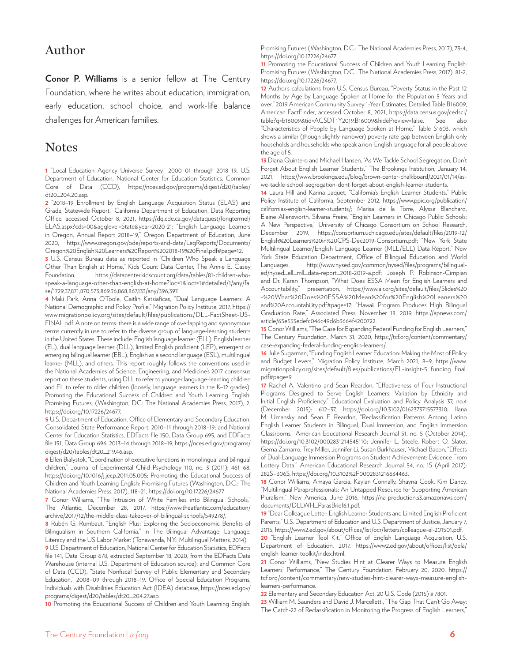#### Author

**Conor P. Williams** is a senior fellow at The Century Foundation, where he writes about education, immigration, early education, school choice, and work-life balance challenges for American families.

#### **Notes**

**1** "Local Education Agency Universe Survey," 2000–01 through 2018–19, U.S. Department of Education, National Center for Education Statistics, Common Core of Data (CCD), https://nces.ed.gov/programs/digest/d20/tables/ dt20\_204.20.asp.

**2** "2018–19 Enrollment by English Language Acquisition Status (ELAS) and Grade, Statewide Report," California Department of Education, Data Reporting Office, accessed October 8, 2021, https://dq.cde.ca.gov/dataquest/longtermel/ ELAS.aspx?cds=00&agglevel=State&year=2020-21; "English Language Learners in Oregon, Annual Report 2018–19," Oregon Department of Education, June 2020, https://www.oregon.gov/ode/reports-and-data/LegReports/Documents/ Oregon%20English%20Learners%20Report%202018-19%20Final.pdf#page=12.

**3** U.S. Census Bureau data as reported in "Children Who Speak a Language Other Than English at Home," Kids Count Data Center, The Annie E. Casey Foundation, https://datacenter.kidscount.org/data/tables/81-children-whospeak-a-language-other-than-english-at-home?loc=1&loct=1#detailed/1/any/fal se/1729,37,871,870,573,869,36,868,867,133/any/396,397.

**4** Maki Park, Anna O'Toole, Caitlin Katsiaficas, "Dual Language Learners: A National Demographic and Policy Profile," Migration Policy Institute, 2017, https:// www.migrationpolicy.org/sites/default/files/publications/DLL-FactSheet-US-FINAL.pdf. A note on terms: there is a wide range of overlapping and synonymous terms currently in use to refer to the diverse group of language-learning students in the United States. These include: English language learner (ELL), English learner (EL), dual language learner (DLL), limited English proficient (LEP), emergent or emerging bilingual learner (EBL), English as a second language (ESL), multilingual learner (MLL), and others. This report roughly follows the conventions used in the National Academies of Science, Engineering, and Medicine's 2017 consensus report on these students, using DLL to refer to younger language-learning children and EL to refer to older children (loosely, language learners in the K–12 grades). Promoting the Educational Success of Children and Youth Learning English: Promising Futures, (Washington, DC: The National Academies Press, 2017), 2, https://doi.org/10.17226/24677.

**5** U.S. Department of Education, Office of Elementary and Secondary Education, Consolidated State Performance Report, 2010–11 through 2018–19; and National Center for Education Statistics, EDFacts file 150, Data Group 695, and EDFacts file 151, Data Group 696, 2013–14 through 2018–19, https://nces.ed.gov/programs/ digest/d20/tables/dt20\_219.46.asp.

**6** Ellen Bialystok, "Coordination of executive functions in monolingual and bilingual children," Journal of Experimental Child Psychology 110, no. 3 (2011): 461–68, https://doi.org/10.1016/j.jecp.2011.05.005; Promoting the Educational Success of Children and Youth Learning English: Promising Futures (Washington, D.C.: The National Academies Press, 2017), 118–21, https://doi.org/10.17226/24677.

**7** Conor Williams, "The Intrusion of White Families into Bilingual Schools," The Atlantic, December 28, 2017, https://www.theatlantic.com/education/ archive/2017/12/the-middle-class-takeover-of-bilingual-schools/549278/.

**8** Rubén G. Rumbaut, "English Plus: Exploring the Socioeconomic Benefits of Bilingualism in Southern California," in The Bilingual Advantage: Language, Literacy and the US Labor Market (Tonawanda, N.Y.: Multilingual Matters, 2014).

**9** U.S. Department of Education, National Center for Education Statistics, EDFacts file 141, Data Group 678, extracted September 18, 2020, from the EDFacts Data Warehouse (internal U.S. Department of Education source); and Common Core of Data (CCD), "State Nonfiscal Survey of Public Elementary and Secondary Education," 2008–09 through 2018–19, Office of Special Education Programs, Individuals with Disabilities Education Act (IDEA) database, https://nces.ed.gov/ programs/digest/d20/tables/dt20\_204.27.asp.

**10** Promoting the Educational Success of Children and Youth Learning English:

Promising Futures (Washington, D.C.: The National Academies Press, 2017), 73-4, https://doi.org/10.17226/24677.

**11** Promoting the Educational Success of Children and Youth Learning English: Promising Futures (Washington, D.C.: The National Academies Press, 2017), 81-2, https://doi.org/10.17226/24677.

**12** Author's calculations from U.S. Census Bureau, "Poverty Status in the Past 12 Months by Age by Language Spoken at Home for the Population 5 Years and over," 2019 American Community Survey 1-Year Estimates, Detailed Table B16009, American FactFinder, accessed October 8, 2021, https://data.census.gov/cedsci/ table?q=b16009&tid=ACSDT1Y2019.B16009&hidePreview=false. See also "Characteristics of People by Language Spoken at Home," Table S1603, which shows a similar (though slightly narrower) poverty rate gap between English-only households and households who speak a non-English language for all people above the age of 5.

**13** Diana Quintero and Michael Hansen, "As We Tackle School Segregation, Don't Forget About English Learner Students," The Brookings Institution, January 14, 2021, https://www.brookings.edu/blog/brown-center-chalkboard/2021/01/14/aswe-tackle-school-segregation-dont-forget-about-english-learner-students.

**14** Laura Hill and Karina Jaquet, "California's English Learner Students," Public Policy Institute of California, September 2012, https://www.ppic.org/publication/ californias-english-learner-students/; Marisa de la Torre, Alyssa Blanchard, Elaine Allensworth, Silvana Freire, "English Learners in Chicago Public Schools: A New Perspective," University of Chicago Consortium on School Research, December 2019, https://consortium.uchicago.edu/sites/default/files/2019-12/ English%20Learners%20in%20CPS-Dec2019-Consortium.pdf; "New York State Multilingual Learner/English Language Learner (MLL/ELL) Data Report," New York State Education Department, Office of Bilingual Education and World Languages, http://www.nysed.gov/common/nysed/files/programs/bilingualed/nysed\_ell\_mll\_data-report\_2018-2019-a.pdf; Joseph P. Robinson-Cimpian and Dr. Karen Thompson, "What Does ESSA Mean for English Learners and Accountability," presentation, https://www.air.org/sites/default/files/Slides%20 -%20What%20Does%20ESSA%20Mean%20for%20English%20Leaners%20 and%20Accountability.pdf#page=17; "Hawaii Program Produces High Bilingual Graduation Rate," Associated Press, November 18, 2019, https://apnews.com/ article/65e555edefc046c49d6b3664f4200722.

**15** Conor Williams, "The Case for Expanding Federal Funding for English Learners," The Century Foundation, March 31, 2020, https://tcf.org/content/commentary/ case-expanding-federal-funding-english-learners/.

**16** Julie Sugarman, "Funding English Learner Education: Making the Most of Policy and Budget Levers," Migration Policy Institute, March 2021, 8–9, https://www. migrationpolicy.org/sites/default/files/publications/EL-insight-5\_funding\_final. pdf#page=9.

**17** Rachel A. Valentino and Sean Reardon, "Effectiveness of Four Instructional Programs Designed to Serve English Learners: Variation by Ethnicity and Initial English Proficiency," Educational Evaluation and Policy Analysis 37, no.4 (December 2015): 612–37, https://doi.org/10.3102/0162373715573310; Ilana M. Umansky and Sean F. Reardon, "Reclassification Patterns Among Latino English Learner Students in BIlingual, Dual Immersion, and English Immersion Classrooms," American Educational Research Journal 51, no. 5 (October 2014), https://doi.org/10.3102/0002831214545110; Jennifer L. Steele, Robert O. Slater, Gema Zamarro, Trey Miller, Jennifer Li, Susan Burkhauser, Michael Bacon, "Effects of Dual-Language Immersion Programs on Student Achievement: Evidence From Lottery Data," American Educational Research Journal 54, no. 1S (April 2017): 282S–306S, https://doi.org/10.3102%2F0002831216634463.

**18** Conor Williams, Amaya Garcia, Kaylan Connally, Shayna Cook, Kim Dancy, "Multilingual Paraprofessionals: An Untapped Resource for Supporting American Pluralism," New America, June 2016, https://na-production.s3.amazonaws.com/ documents/DLLWH\_ParasBrief6.1.pdf.

**19** "Dear Colleague Letter: English Learner Students and Limited English Proficient Parents," U.S. Department of Education and U.S. Department of Justice, January 7, 2015, https://www2.ed.gov/about/offices/list/ocr/letters/colleague-el-201501.pdf.

**20** "English Learner Tool Kit," Office of English Language Acquisition, U.S. Department of Education, 2017, https://www2.ed.gov/about/offices/list/oela/ english-learner-toolkit/index.html.

**21** Conor Williams, "New Studies Hint at Clearer Ways to Measure English Learners' Performance," The Century Foundation, February 20, 2020, https:// tcf.org/content/commentary/new-studies-hint-clearer-ways-measure-englishlearners-performance.

**22** Elementary and Secondary Education Act, 20 U.S. Code (2015) § 7801.

**23** William M. Saunders and David J. Marcelletti, "The Gap That Can't Go Away: The Catch-22 of Reclassification in Monitoring the Progress of English Learners,"